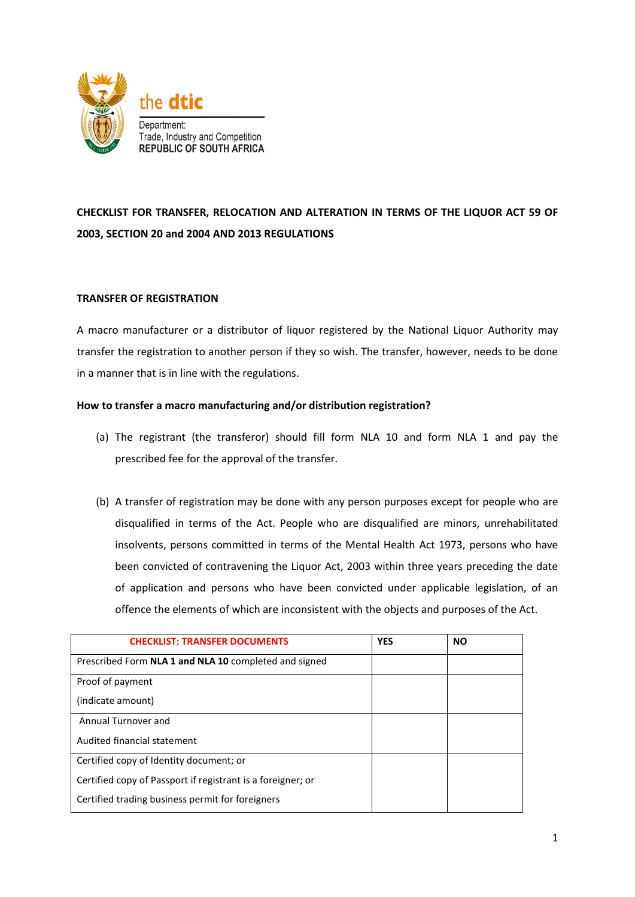

# **CHECKLIST FOR TRANSFER, RELOCATION AND ALTERATION IN TERMS OF THE LIQUOR ACT 59 OF 2003, SECTION 20 and 2004 AND 2013 REGULATIONS**

### **TRANSFER OF REGISTRATION**

A macro manufacturer or a distributor of liquor registered by the National Liquor Authority may transfer the registration to another person if they so wish. The transfer, however, needs to be done in a manner that is in line with the regulations.

### **How to transfer a macro manufacturing and/or distribution registration?**

- (a) The registrant (the transferor) should fill form NLA 10 and form NLA 1 and pay the prescribed fee for the approval of the transfer.
- (b) A transfer of registration may be done with any person purposes except for people who are disqualified in terms of the Act. People who are disqualified are minors, unrehabilitated insolvents, persons committed in terms of the Mental Health Act 1973, persons who have been convicted of contravening the Liquor Act, 2003 within three years preceding the date of application and persons who have been convicted under applicable legislation, of an offence the elements of which are inconsistent with the objects and purposes of the Act.

| <b>CHECKLIST: TRANSFER DOCUMENTS</b>                        | <b>YES</b> | <b>NO</b> |
|-------------------------------------------------------------|------------|-----------|
| Prescribed Form NLA 1 and NLA 10 completed and signed       |            |           |
| Proof of payment                                            |            |           |
| (indicate amount)                                           |            |           |
| Annual Turnover and                                         |            |           |
| Audited financial statement                                 |            |           |
| Certified copy of Identity document; or                     |            |           |
| Certified copy of Passport if registrant is a foreigner; or |            |           |
| Certified trading business permit for foreigners            |            |           |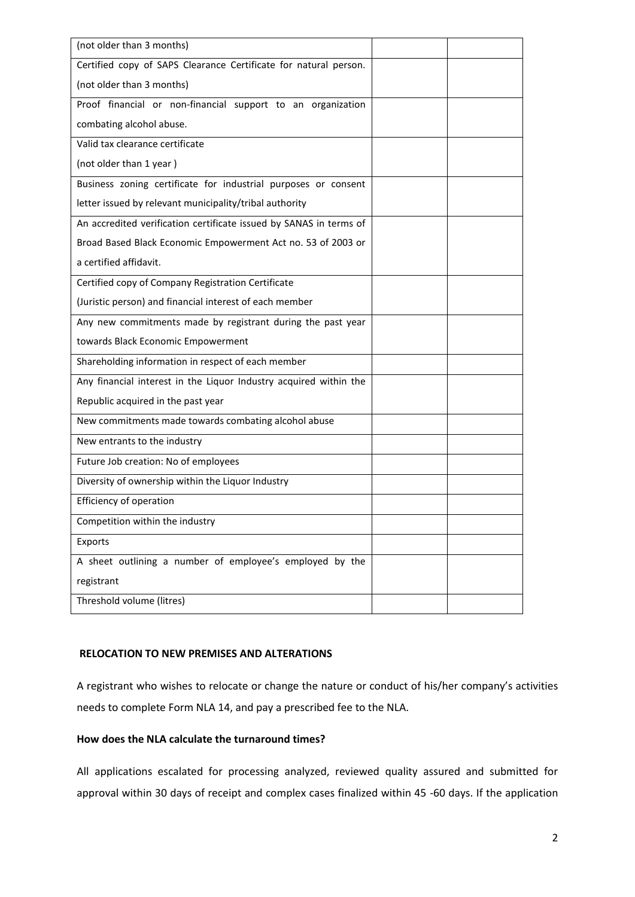| (not older than 3 months)                                          |  |
|--------------------------------------------------------------------|--|
| Certified copy of SAPS Clearance Certificate for natural person.   |  |
| (not older than 3 months)                                          |  |
| Proof financial or non-financial support to an organization        |  |
| combating alcohol abuse.                                           |  |
| Valid tax clearance certificate                                    |  |
| (not older than 1 year)                                            |  |
| Business zoning certificate for industrial purposes or consent     |  |
| letter issued by relevant municipality/tribal authority            |  |
| An accredited verification certificate issued by SANAS in terms of |  |
| Broad Based Black Economic Empowerment Act no. 53 of 2003 or       |  |
| a certified affidavit.                                             |  |
| Certified copy of Company Registration Certificate                 |  |
| (Juristic person) and financial interest of each member            |  |
| Any new commitments made by registrant during the past year        |  |
| towards Black Economic Empowerment                                 |  |
| Shareholding information in respect of each member                 |  |
| Any financial interest in the Liquor Industry acquired within the  |  |
| Republic acquired in the past year                                 |  |
| New commitments made towards combating alcohol abuse               |  |
| New entrants to the industry                                       |  |
| Future Job creation: No of employees                               |  |
| Diversity of ownership within the Liquor Industry                  |  |
| Efficiency of operation                                            |  |
| Competition within the industry                                    |  |
| Exports                                                            |  |
| A sheet outlining a number of employee's employed by the           |  |
| registrant                                                         |  |
| Threshold volume (litres)                                          |  |
|                                                                    |  |

### **RELOCATION TO NEW PREMISES AND ALTERATIONS**

A registrant who wishes to relocate or change the nature or conduct of his/her company's activities needs to complete Form NLA 14, and pay a prescribed fee to the NLA.

### **How does the NLA calculate the turnaround times?**

All applications escalated for processing analyzed, reviewed quality assured and submitted for approval within 30 days of receipt and complex cases finalized within 45 -60 days. If the application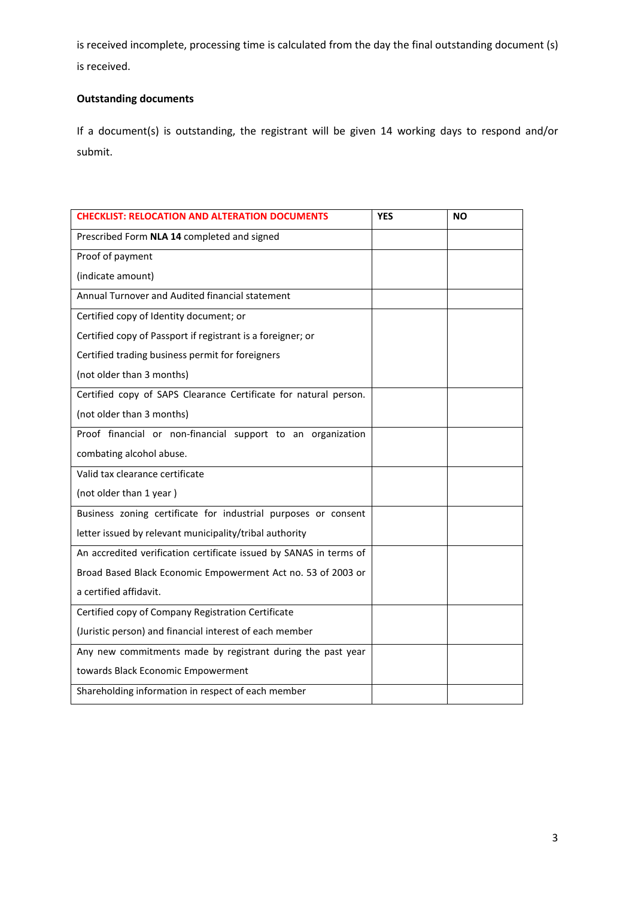is received incomplete, processing time is calculated from the day the final outstanding document (s) is received.

# **Outstanding documents**

If a document(s) is outstanding, the registrant will be given 14 working days to respond and/or submit.

| <b>CHECKLIST: RELOCATION AND ALTERATION DOCUMENTS</b>              | <b>YES</b> | <b>NO</b> |
|--------------------------------------------------------------------|------------|-----------|
| Prescribed Form NLA 14 completed and signed                        |            |           |
| Proof of payment                                                   |            |           |
| (indicate amount)                                                  |            |           |
| Annual Turnover and Audited financial statement                    |            |           |
| Certified copy of Identity document; or                            |            |           |
| Certified copy of Passport if registrant is a foreigner; or        |            |           |
| Certified trading business permit for foreigners                   |            |           |
| (not older than 3 months)                                          |            |           |
| Certified copy of SAPS Clearance Certificate for natural person.   |            |           |
| (not older than 3 months)                                          |            |           |
| Proof financial or non-financial support to an organization        |            |           |
| combating alcohol abuse.                                           |            |           |
| Valid tax clearance certificate                                    |            |           |
| (not older than 1 year)                                            |            |           |
| Business zoning certificate for industrial purposes or consent     |            |           |
| letter issued by relevant municipality/tribal authority            |            |           |
| An accredited verification certificate issued by SANAS in terms of |            |           |
| Broad Based Black Economic Empowerment Act no. 53 of 2003 or       |            |           |
| a certified affidavit.                                             |            |           |
| Certified copy of Company Registration Certificate                 |            |           |
| (Juristic person) and financial interest of each member            |            |           |
| Any new commitments made by registrant during the past year        |            |           |
| towards Black Economic Empowerment                                 |            |           |
| Shareholding information in respect of each member                 |            |           |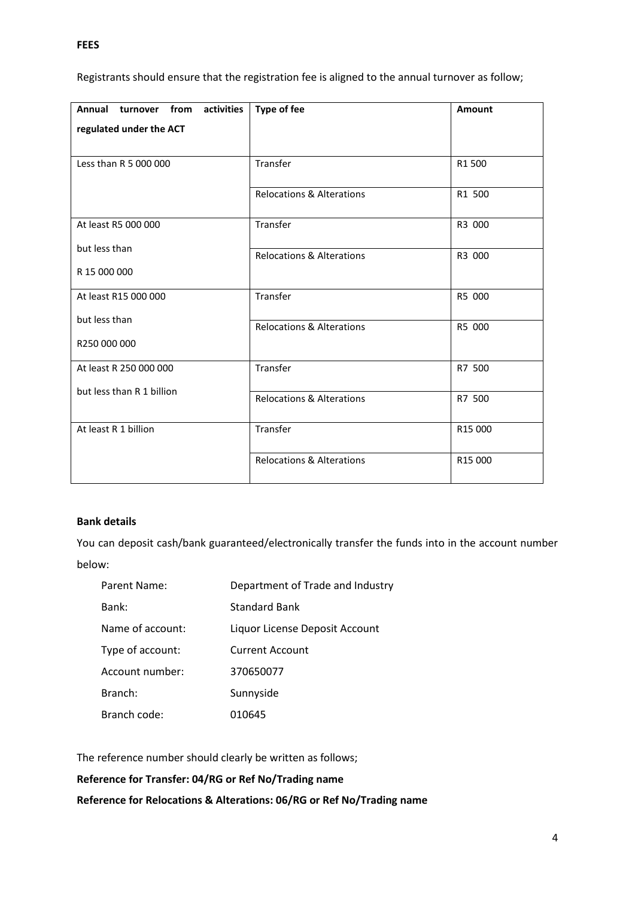**FEES** 

| Annual turnover from<br>activities | <b>Type of fee</b>                   | <b>Amount</b> |
|------------------------------------|--------------------------------------|---------------|
| regulated under the ACT            |                                      |               |
|                                    |                                      |               |
| Less than R 5 000 000              | Transfer                             | R1 500        |
|                                    | <b>Relocations &amp; Alterations</b> | R1 500        |
| At least R5 000 000                | Transfer                             | R3 000        |
| but less than                      | <b>Relocations &amp; Alterations</b> | R3 000        |
| R 15 000 000                       |                                      |               |
| At least R15 000 000               | Transfer                             | R5 000        |
| but less than                      | Relocations & Alterations            | R5 000        |
| R250 000 000                       |                                      |               |
| At least R 250 000 000             | Transfer                             | R7 500        |
| but less than R 1 billion          |                                      |               |
|                                    | <b>Relocations &amp; Alterations</b> | R7 500        |
| At least R 1 billion               | Transfer                             | R15 000       |
|                                    | <b>Relocations &amp; Alterations</b> | R15 000       |
|                                    |                                      |               |

# Registrants should ensure that the registration fee is aligned to the annual turnover as follow;

# **Bank details**

You can deposit cash/bank guaranteed/electronically transfer the funds into in the account number below:

| Parent Name:     | Department of Trade and Industry |
|------------------|----------------------------------|
| Bank:            | <b>Standard Bank</b>             |
| Name of account: | Liquor License Deposit Account   |
| Type of account: | <b>Current Account</b>           |
| Account number:  | 370650077                        |
| Branch:          | Sunnyside                        |
| Branch code:     | 010645                           |
|                  |                                  |

The reference number should clearly be written as follows;

**Reference for Transfer: 04/RG or Ref No/Trading name**

**Reference for Relocations & Alterations: 06/RG or Ref No/Trading name**